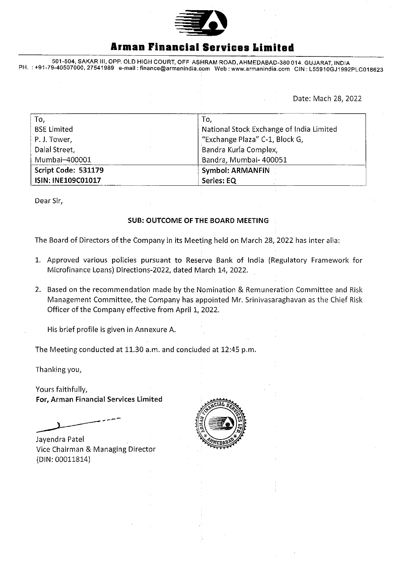

## **Armen Financial Services Limited**

501-504, SAKAR Ill, OPR OLD HIGH COURT, OFF ASHRAM ROAD, AHMEDABAD-380 014, GUJARAT, INDIA PH. :+91-79-40507000,27541989 e-mail: finance@armanindja.com Web: www.armanindia.com CIN L55910GJ1992PLC018623

Date: Mach 28, 2022

| To,                 | To,                                      |
|---------------------|------------------------------------------|
| <b>BSE Limited</b>  | National Stock Exchange of India Limited |
| P.J. Tower,         | "Exchange Plaza" C-1, Block G,           |
| Dalal Street,       | Bandra Kurla Complex,                    |
| Mumbai-400001       | Bandra, Mumbai- 400051                   |
| Script Code: 531179 | Symbol: ARMANFIN                         |
| ISIN: INE109C01017  | Series: EQ                               |

Dear Sir,

## SUB: OUTCOME OF THE BOARD MEETING

The Board of Directors of the Company in its Meeting held on March 28, 2022 has inter alia:

- 1. Approved various policies pursuant to Reserve Bank of India (Regulatory Framework for Microfinance Loans) Directions-2022, dated March 14, 2022,
- 2. Based on the recommendation made by the Nomination & Remuneration Committee and Risk Management Committee, the Company has appointed Mr. Srinivasaraghavan as the Chief Risk Officer of the Company effective from April 1, 2022.

His brief profile is given in Annexure A.

The Meeting conducted at 11.30 a.m. and concluded at 12:45 p.m.

Thanking you,

Yours faithfully, For, Arman Financial Services Limited

Jayendra Patel Vice Chairman & Managing Director (DIN: 00011814)